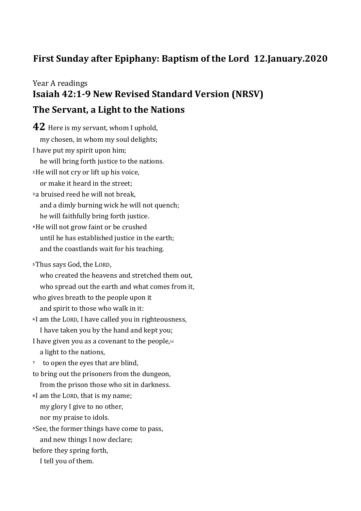# **First Sunday after Epiphany: Baptism of the Lord 12.January.2020**

# Year A readings **Isaiah 42:1-9 New Revised Standard Version (NRSV) The Servant, a Light to the Nations**

**42** Here is my servant, whom I uphold, my chosen, in whom my soul delights; I have put my spirit upon him; he will bring forth justice to the nations. **<sup>2</sup>**He will not cry or lift up his voice, or make it heard in the street; **<sup>3</sup>** a bruised reed he will not break, and a dimly burning wick he will not quench; he will faithfully bring forth justice. **<sup>4</sup>**He will not grow faint or be crushed until he has established justice in the earth; and the coastlands wait for his teaching. **<sup>5</sup>**Thus says God, the LORD, who created the heavens and stretched them out, who spread out the earth and what comes from it, who gives breath to the people upon it and spirit to those who walk in it: **<sup>6</sup>** I am the LORD, I have called you in righteousness, I have taken you by the hand and kept you; I have given you as a covenant to the people,  $a$  a light to the nations, **<sup>7</sup>** to open the eyes that are blind, to bring out the prisoners from the dungeon, from the prison those who sit in darkness. **<sup>8</sup>** I am the LORD, that is my name; my glory I give to no other, nor my praise to idols. **<sup>9</sup>** See, the former things have come to pass, and new things I now declare; before they spring forth, I tell you of them.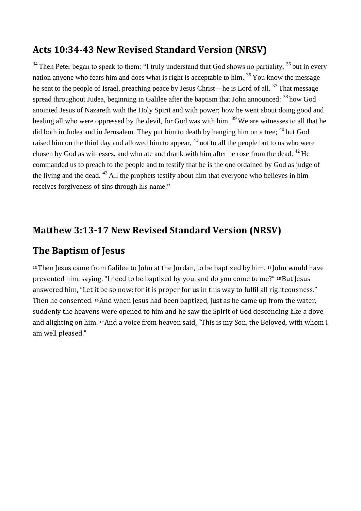#### **Acts 10:34-43 New Revised Standard Version (NRSV)**

 $34$  Then Peter began to speak to them: "I truly understand that God shows no partiality,  $35$  but in every nation anyone who fears him and does what is right is acceptable to him.  $36$  You know the message he sent to the people of Israel, preaching peace by Jesus Christ—he is Lord of all. <sup>37</sup> That message spread throughout Judea, beginning in Galilee after the baptism that John announced:  $38$  how God anointed Jesus of Nazareth with the Holy Spirit and with power; how he went about doing good and healing all who were oppressed by the devil, for God was with him. <sup>39</sup> We are witnesses to all that he did both in Judea and in Jerusalem. They put him to death by hanging him on a tree: <sup>40</sup> but God raised him on the third day and allowed him to appear, <sup>41</sup> not to all the people but to us who were chosen by God as witnesses, and who ate and drank with him after he rose from the dead. <sup>42</sup> He commanded us to preach to the people and to testify that he is the one ordained by God as judge of the living and the dead.  $^{43}$  All the prophets testify about him that everyone who believes in him receives forgiveness of sins through his name."

### **Matthew 3:13-17 New Revised Standard Version (NRSV)**

#### **The Baptism of Jesus**

**<sup>13</sup>**Then Jesus came from Galilee to John at the Jordan, to be baptized by him. **<sup>14</sup>** John would have prevented him, saying, "I need to be baptized by you, and do you come to me?" **15**But Jesus answered him, "Let it be so now; for it is proper for us in this way to fulfil all righteousness." Then he consented. **16**And when Jesus had been baptized, just as he came up from the water, suddenly the heavens were opened to him and he saw the Spirit of God descending like a dove and alighting on him. **17**And a voice from heaven said, "This is my Son, the Beloved, with whom I am well pleased."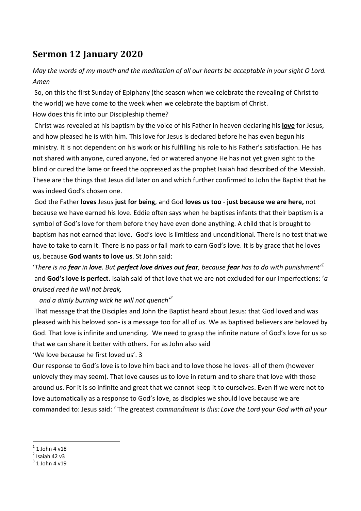## **Sermon 12 January 2020**

#### *May the words of my mouth and the meditation of all our hearts be acceptable in your sight O Lord. Amen*

So, on this the first Sunday of Epiphany (the season when we celebrate the revealing of Christ to the world) we have come to the week when we celebrate the baptism of Christ.

How does this fit into our Discipleship theme?

Christ was revealed at his baptism by the voice of his Father in heaven declaring his **love** for Jesus, and how pleased he is with him. This love for Jesus is declared before he has even begun his ministry. It is not dependent on his work or his fulfilling his role to his Father's satisfaction. He has not shared with anyone, cured anyone, fed or watered anyone He has not yet given sight to the blind or cured the lame or freed the oppressed as the prophet Isaiah had described of the Messiah. These are the things that Jesus did later on and which further confirmed to John the Baptist that he was indeed God's chosen one.

God the Father **loves** Jesus **just for being**, and God **loves us too** - **just because we are here,** not because we have earned his love. Eddie often says when he baptises infants that their baptism is a symbol of God's love for them before they have even done anything. A child that is brought to baptism has not earned that love. God's love is limitless and unconditional. There is no test that we have to take to earn it. There is no pass or fail mark to earn God's love. It is by grace that he loves us, because **God wants to love us**. St John said:

'*There is no fear in love. But perfect love drives out fear, because fear has to do with punishment' 1* and **God's love is perfect.** Isaiah said of that love that we are not excluded for our imperfections: '*a bruised reed he will not break,*

#### *and a dimly burning wick he will not quench'<sup>2</sup>*

That message that the Disciples and John the Baptist heard about Jesus: that God loved and was pleased with his beloved son- is a message too for all of us. We as baptised believers are beloved by God. That love is infinite and unending. We need to grasp the infinite nature of God's love for us so that we can share it better with others. For as John also said

'We love because he first loved us'. 3

Our response to God's love is to love him back and to love those he loves- all of them (however unlovely they may seem). That love causes us to love in return and to share that love with those around us. For it is so infinite and great that we cannot keep it to ourselves. Even if we were not to love automatically as a response to God's love, as disciples we should love because we are commanded to: Jesus said: ' The greatest *commandment is this:Love the Lord your God with all your* 

**<sup>.</sup>**  $^1$  1 John 4 v18

 $<sup>2</sup>$  Isaiah 42 v3</sup>

 $3$  1 John 4 v19